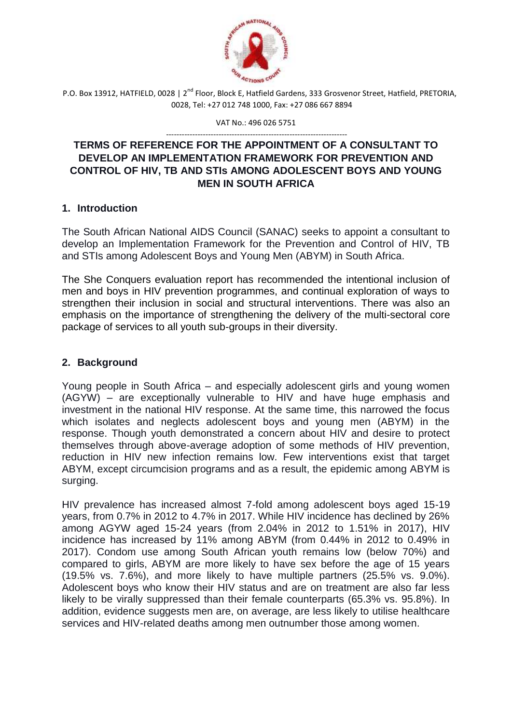

VAT No.: 496 026 5751

#### --------------------------------------------------------------------- **TERMS OF REFERENCE FOR THE APPOINTMENT OF A CONSULTANT TO DEVELOP AN IMPLEMENTATION FRAMEWORK FOR PREVENTION AND CONTROL OF HIV, TB AND STIs AMONG ADOLESCENT BOYS AND YOUNG MEN IN SOUTH AFRICA**

## **1. Introduction**

The South African National AIDS Council (SANAC) seeks to appoint a consultant to develop an Implementation Framework for the Prevention and Control of HIV, TB and STIs among Adolescent Boys and Young Men (ABYM) in South Africa.

The She Conquers evaluation report has recommended the intentional inclusion of men and boys in HIV prevention programmes, and continual exploration of ways to strengthen their inclusion in social and structural interventions. There was also an emphasis on the importance of strengthening the delivery of the multi-sectoral core package of services to all youth sub-groups in their diversity.

# **2. Background**

Young people in South Africa – and especially adolescent girls and young women (AGYW) – are exceptionally vulnerable to HIV and have huge emphasis and investment in the national HIV response. At the same time, this narrowed the focus which isolates and neglects adolescent boys and young men (ABYM) in the response. Though youth demonstrated a concern about HIV and desire to protect themselves through above-average adoption of some methods of HIV prevention, reduction in HIV new infection remains low. Few interventions exist that target ABYM, except circumcision programs and as a result, the epidemic among ABYM is surging.

HIV prevalence has increased almost 7-fold among adolescent boys aged 15-19 years, from 0.7% in 2012 to 4.7% in 2017. While HIV incidence has declined by 26% among AGYW aged 15-24 years (from 2.04% in 2012 to 1.51% in 2017), HIV incidence has increased by 11% among ABYM (from 0.44% in 2012 to 0.49% in 2017). Condom use among South African youth remains low (below 70%) and compared to girls, ABYM are more likely to have sex before the age of 15 years (19.5% vs. 7.6%), and more likely to have multiple partners (25.5% vs. 9.0%). Adolescent boys who know their HIV status and are on treatment are also far less likely to be virally suppressed than their female counterparts (65.3% vs. 95.8%). In addition, evidence suggests men are, on average, are less likely to utilise healthcare services and HIV-related deaths among men outnumber those among women.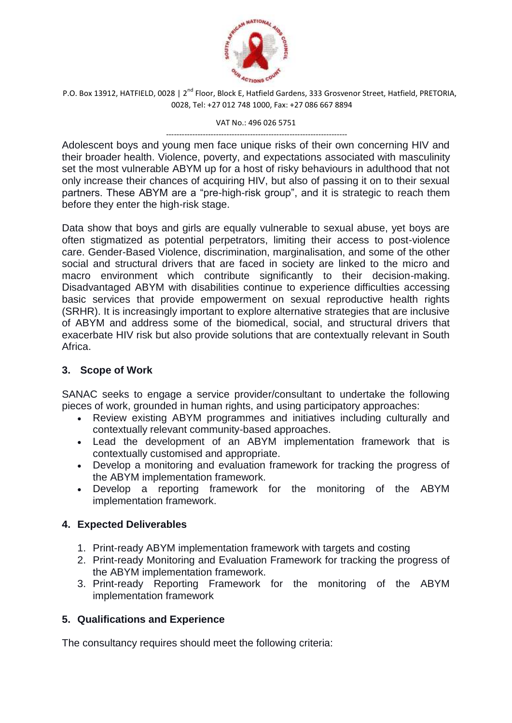

VAT No.: 496 026 5751

--------------------------------------------------------------------- Adolescent boys and young men face unique risks of their own concerning HIV and their broader health. Violence, poverty, and expectations associated with masculinity set the most vulnerable ABYM up for a host of risky behaviours in adulthood that not only increase their chances of acquiring HIV, but also of passing it on to their sexual partners. These ABYM are a "pre-high-risk group", and it is strategic to reach them before they enter the high-risk stage.

Data show that boys and girls are equally vulnerable to sexual abuse, yet boys are often stigmatized as potential perpetrators, limiting their access to post-violence care. Gender-Based Violence, discrimination, marginalisation, and some of the other social and structural drivers that are faced in society are linked to the micro and macro environment which contribute significantly to their decision-making. Disadvantaged ABYM with disabilities continue to experience difficulties accessing basic services that provide empowerment on sexual reproductive health rights (SRHR). It is increasingly important to explore alternative strategies that are inclusive of ABYM and address some of the biomedical, social, and structural drivers that exacerbate HIV risk but also provide solutions that are contextually relevant in South Africa.

# **3. Scope of Work**

SANAC seeks to engage a service provider/consultant to undertake the following pieces of work, grounded in human rights, and using participatory approaches:

- Review existing ABYM programmes and initiatives including culturally and contextually relevant community-based approaches.
- Lead the development of an ABYM implementation framework that is contextually customised and appropriate.
- Develop a monitoring and evaluation framework for tracking the progress of the ABYM implementation framework.
- Develop a reporting framework for the monitoring of the ABYM implementation framework.

# **4. Expected Deliverables**

- 1. Print-ready ABYM implementation framework with targets and costing
- 2. Print-ready Monitoring and Evaluation Framework for tracking the progress of the ABYM implementation framework.
- 3. Print-ready Reporting Framework for the monitoring of the ABYM implementation framework

# **5. Qualifications and Experience**

The consultancy requires should meet the following criteria: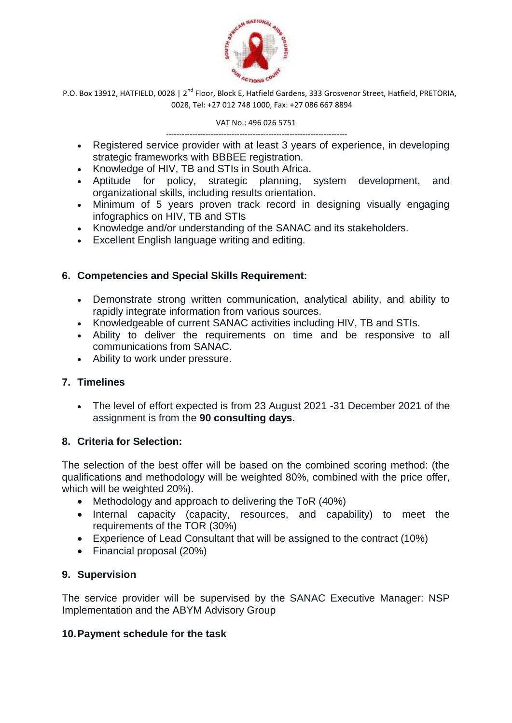

VAT No.: 496 026 5751

- --------------------------------------------------------------------- Registered service provider with at least 3 years of experience, in developing strategic frameworks with BBBEE registration.
- Knowledge of HIV, TB and STIs in South Africa.
- Aptitude for policy, strategic planning, system development, and organizational skills, including results orientation.
- Minimum of 5 years proven track record in designing visually engaging infographics on HIV, TB and STIs
- Knowledge and/or understanding of the SANAC and its stakeholders.
- Excellent English language writing and editing.

## **6. Competencies and Special Skills Requirement:**

- Demonstrate strong written communication, analytical ability, and ability to rapidly integrate information from various sources.
- Knowledgeable of current SANAC activities including HIV, TB and STIs.
- Ability to deliver the requirements on time and be responsive to all communications from SANAC.
- Ability to work under pressure.

# **7. Timelines**

 The level of effort expected is from 23 August 2021 -31 December 2021 of the assignment is from the **90 consulting days.**

### **8. Criteria for Selection:**

The selection of the best offer will be based on the combined scoring method: (the qualifications and methodology will be weighted 80%, combined with the price offer, which will be weighted 20%).

- Methodology and approach to delivering the ToR (40%)
- Internal capacity (capacity, resources, and capability) to meet the requirements of the TOR (30%)
- Experience of Lead Consultant that will be assigned to the contract (10%)
- Financial proposal (20%)

### **9. Supervision**

The service provider will be supervised by the SANAC Executive Manager: NSP Implementation and the ABYM Advisory Group

### **10.Payment schedule for the task**